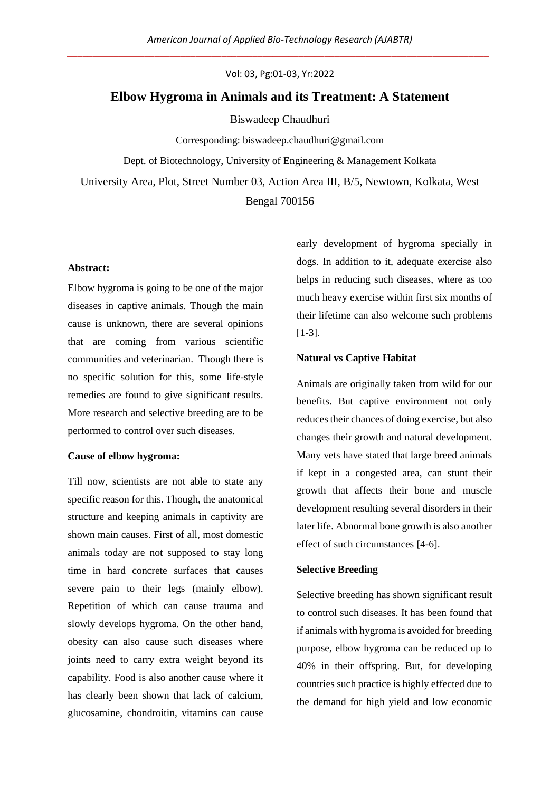Vol: 03, Pg:01-03, Yr:2022

# **Elbow Hygroma in Animals and its Treatment: A Statement**

Biswadeep Chaudhuri

Corresponding: biswadeep.chaudhuri@gmail.com Dept. of Biotechnology, University of Engineering & Management Kolkata University Area, Plot, Street Number 03, Action Area III, B/5, Newtown, Kolkata, West

Bengal 700156

### **Abstract:**

Elbow hygroma is going to be one of the major diseases in captive animals. Though the main cause is unknown, there are several opinions that are coming from various scientific communities and veterinarian. Though there is no specific solution for this, some life-style remedies are found to give significant results. More research and selective breeding are to be performed to control over such diseases.

#### **Cause of elbow hygroma:**

Till now, scientists are not able to state any specific reason for this. Though, the anatomical structure and keeping animals in captivity are shown main causes. First of all, most domestic animals today are not supposed to stay long time in hard concrete surfaces that causes severe pain to their legs (mainly elbow). Repetition of which can cause trauma and slowly develops hygroma. On the other hand, obesity can also cause such diseases where joints need to carry extra weight beyond its capability. Food is also another cause where it has clearly been shown that lack of calcium, glucosamine, chondroitin, vitamins can cause early development of hygroma specially in dogs. In addition to it, adequate exercise also helps in reducing such diseases, where as too much heavy exercise within first six months of their lifetime can also welcome such problems [1-3].

### **Natural vs Captive Habitat**

Animals are originally taken from wild for our benefits. But captive environment not only reduces their chances of doing exercise, but also changes their growth and natural development. Many vets have stated that large breed animals if kept in a congested area, can stunt their growth that affects their bone and muscle development resulting several disorders in their later life. Abnormal bone growth is also another effect of such circumstances [4-6].

#### **Selective Breeding**

Selective breeding has shown significant result to control such diseases. It has been found that if animals with hygroma is avoided for breeding purpose, elbow hygroma can be reduced up to 40% in their offspring. But, for developing countries such practice is highly effected due to the demand for high yield and low economic